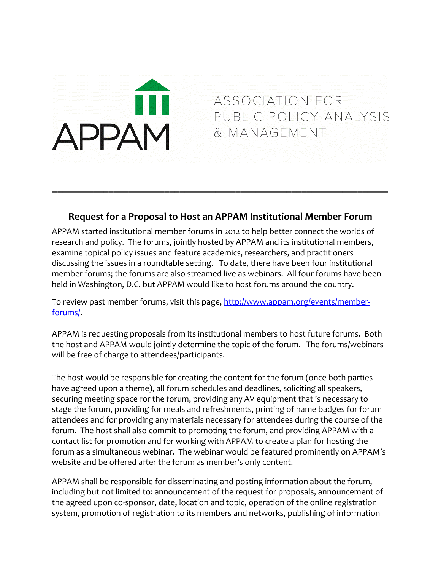## **APPAM**

ASSOCIATION FOR PUBLIC POLICY ANALYSIS & MANAGEMENT

## **Request for a Proposal to Host an APPAM Institutional Member Forum**

**\_\_\_\_\_\_\_\_\_\_\_\_\_\_\_\_\_\_\_\_\_\_\_\_\_\_\_\_\_\_\_\_\_\_\_\_\_\_\_\_\_\_\_\_\_\_\_\_\_\_\_\_\_\_\_\_\_\_\_\_\_\_\_\_\_\_**

APPAM started institutional member forums in 2012 to help better connect the worlds of research and policy. The forums, jointly hosted by APPAM and its institutional members, examine topical policy issues and feature academics, researchers, and practitioners discussing the issues in a roundtable setting. To date, there have been four institutional member forums; the forums are also streamed live as webinars. All four forums have been held in Washington, D.C. but APPAM would like to host forums around the country.

To review past member forums, visit this page, [http://www.appam.org/events/member](http://www.appam.org/events/member-forums/)[forums/.](http://www.appam.org/events/member-forums/)

APPAM is requesting proposals from its institutional members to host future forums. Both the host and APPAM would jointly determine the topic of the forum. The forums/webinars will be free of charge to attendees/participants.

The host would be responsible for creating the content for the forum (once both parties have agreed upon a theme), all forum schedules and deadlines, soliciting all speakers, securing meeting space for the forum, providing any AV equipment that is necessary to stage the forum, providing for meals and refreshments, printing of name badges for forum attendees and for providing any materials necessary for attendees during the course of the forum. The host shall also commit to promoting the forum, and providing APPAM with a contact list for promotion and for working with APPAM to create a plan for hosting the forum as a simultaneous webinar. The webinar would be featured prominently on APPAM's website and be offered after the forum as member's only content.

APPAM shall be responsible for disseminating and posting information about the forum, including but not limited to: announcement of the request for proposals, announcement of the agreed upon co-sponsor, date, location and topic, operation of the online registration system, promotion of registration to its members and networks, publishing of information